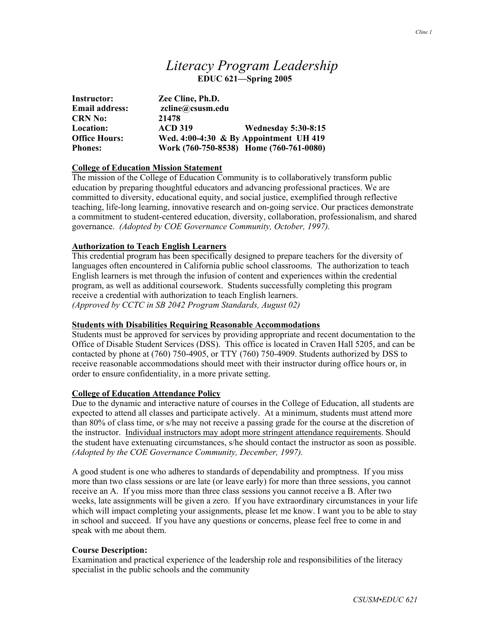# *Literacy Program Leadership*  **EDUC 621—Spring 2005**

| Instructor:           | Zee Cline, Ph.D. |                                           |  |
|-----------------------|------------------|-------------------------------------------|--|
| <b>Email address:</b> | zcline@csusm.edu |                                           |  |
| <b>CRN No:</b>        | 21478            |                                           |  |
| Location:             | <b>ACD 319</b>   | <b>Wednesday 5:30-8:15</b>                |  |
| <b>Office Hours:</b>  |                  | Wed. $4:00-4:30 \& By Appointment UH 419$ |  |
| <b>Phones:</b>        |                  | Work (760-750-8538) Home (760-761-0080)   |  |

## **College of Education Mission Statement**

The mission of the College of Education Community is to collaboratively transform public education by preparing thoughtful educators and advancing professional practices. We are committed to diversity, educational equity, and social justice, exemplified through reflective teaching, life-long learning, innovative research and on-going service. Our practices demonstrate a commitment to student-centered education, diversity, collaboration, professionalism, and shared governance. *(Adopted by COE Governance Community, October, 1997).* 

## **Authorization to Teach English Learners**

This credential program has been specifically designed to prepare teachers for the diversity of languages often encountered in California public school classrooms. The authorization to teach English learners is met through the infusion of content and experiences within the credential program, as well as additional coursework. Students successfully completing this program receive a credential with authorization to teach English learners. *(Approved by CCTC in SB 2042 Program Standards, August 02)*

#### **Students with Disabilities Requiring Reasonable Accommodations**

Students must be approved for services by providing appropriate and recent documentation to the Office of Disable Student Services (DSS). This office is located in Craven Hall 5205, and can be contacted by phone at (760) 750-4905, or TTY (760) 750-4909. Students authorized by DSS to receive reasonable accommodations should meet with their instructor during office hours or, in order to ensure confidentiality, in a more private setting.

### **College of Education Attendance Policy**

Due to the dynamic and interactive nature of courses in the College of Education, all students are expected to attend all classes and participate actively. At a minimum, students must attend more than 80% of class time, or s/he may not receive a passing grade for the course at the discretion of the instructor. Individual instructors may adopt more stringent attendance requirements. Should the student have extenuating circumstances, s/he should contact the instructor as soon as possible. *(Adopted by the COE Governance Community, December, 1997).*

A good student is one who adheres to standards of dependability and promptness. If you miss more than two class sessions or are late (or leave early) for more than three sessions, you cannot receive an A. If you miss more than three class sessions you cannot receive a B. After two weeks, late assignments will be given a zero. If you have extraordinary circumstances in your life which will impact completing your assignments, please let me know. I want you to be able to stay in school and succeed. If you have any questions or concerns, please feel free to come in and speak with me about them.

#### **Course Description:**

Examination and practical experience of the leadership role and responsibilities of the literacy specialist in the public schools and the community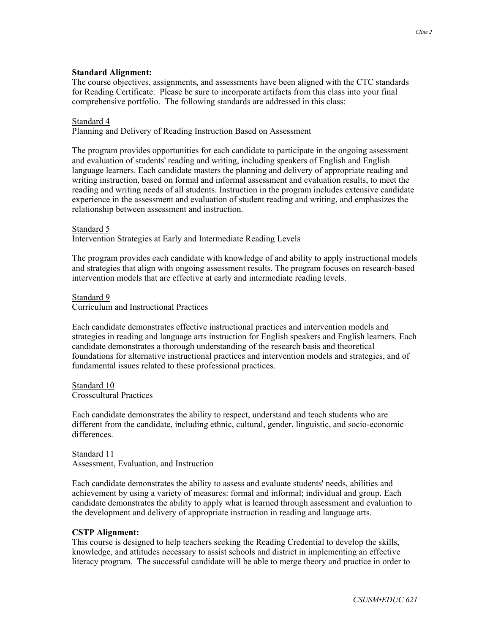### **Standard Alignment:**

The course objectives, assignments, and assessments have been aligned with the CTC standards for Reading Certificate. Please be sure to incorporate artifacts from this class into your final comprehensive portfolio. The following standards are addressed in this class:

### Standard 4

Planning and Delivery of Reading Instruction Based on Assessment

The program provides opportunities for each candidate to participate in the ongoing assessment and evaluation of students' reading and writing, including speakers of English and English language learners. Each candidate masters the planning and delivery of appropriate reading and writing instruction, based on formal and informal assessment and evaluation results, to meet the reading and writing needs of all students. Instruction in the program includes extensive candidate experience in the assessment and evaluation of student reading and writing, and emphasizes the relationship between assessment and instruction.

#### Standard 5

Intervention Strategies at Early and Intermediate Reading Levels

The program provides each candidate with knowledge of and ability to apply instructional models and strategies that align with ongoing assessment results. The program focuses on research-based intervention models that are effective at early and intermediate reading levels.

#### Standard 9

Curriculum and Instructional Practices

Each candidate demonstrates effective instructional practices and intervention models and strategies in reading and language arts instruction for English speakers and English learners. Each candidate demonstrates a thorough understanding of the research basis and theoretical foundations for alternative instructional practices and intervention models and strategies, and of fundamental issues related to these professional practices.

Standard 10 Crosscultural Practices

Each candidate demonstrates the ability to respect, understand and teach students who are different from the candidate, including ethnic, cultural, gender, linguistic, and socio-economic differences.

Standard 11 Assessment, Evaluation, and Instruction

Each candidate demonstrates the ability to assess and evaluate students' needs, abilities and achievement by using a variety of measures: formal and informal; individual and group. Each candidate demonstrates the ability to apply what is learned through assessment and evaluation to the development and delivery of appropriate instruction in reading and language arts.

#### **CSTP Alignment:**

This course is designed to help teachers seeking the Reading Credential to develop the skills, knowledge, and attitudes necessary to assist schools and district in implementing an effective literacy program. The successful candidate will be able to merge theory and practice in order to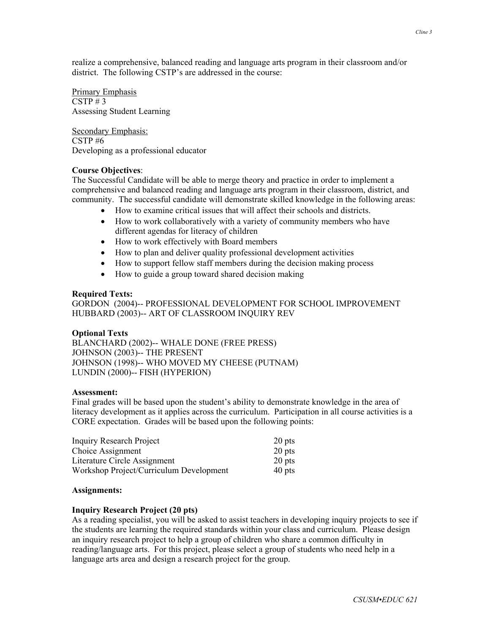Primary Emphasis  $CSTP \# 3$ Assessing Student Learning

Secondary Emphasis: CSTP #6 Developing as a professional educator

## **Course Objectives**:

The Successful Candidate will be able to merge theory and practice in order to implement a comprehensive and balanced reading and language arts program in their classroom, district, and community. The successful candidate will demonstrate skilled knowledge in the following areas:

- How to examine critical issues that will affect their schools and districts.
- How to work collaboratively with a variety of community members who have different agendas for literacy of children
- How to work effectively with Board members
- How to plan and deliver quality professional development activities
- How to support fellow staff members during the decision making process
- How to guide a group toward shared decision making

## **Required Texts:**

GORDON (2004)-- PROFESSIONAL DEVELOPMENT FOR SCHOOL IMPROVEMENT HUBBARD (2003)-- ART OF CLASSROOM INQUIRY REV

## **Optional Texts**

BLANCHARD (2002)-- WHALE DONE (FREE PRESS) JOHNSON (2003)-- THE PRESENT JOHNSON (1998)-- WHO MOVED MY CHEESE (PUTNAM) LUNDIN (2000)-- FISH (HYPERION)

## **Assessment:**

Final grades will be based upon the student's ability to demonstrate knowledge in the area of literacy development as it applies across the curriculum. Participation in all course activities is a CORE expectation. Grades will be based upon the following points:

| <b>Inquiry Research Project</b>         | 20 pts |
|-----------------------------------------|--------|
| Choice Assignment                       | 20 pts |
| Literature Circle Assignment            | 20 pts |
| Workshop Project/Curriculum Development | 40 pts |

## **Assignments:**

## **Inquiry Research Project (20 pts)**

As a reading specialist, you will be asked to assist teachers in developing inquiry projects to see if the students are learning the required standards within your class and curriculum. Please design an inquiry research project to help a group of children who share a common difficulty in reading/language arts. For this project, please select a group of students who need help in a language arts area and design a research project for the group.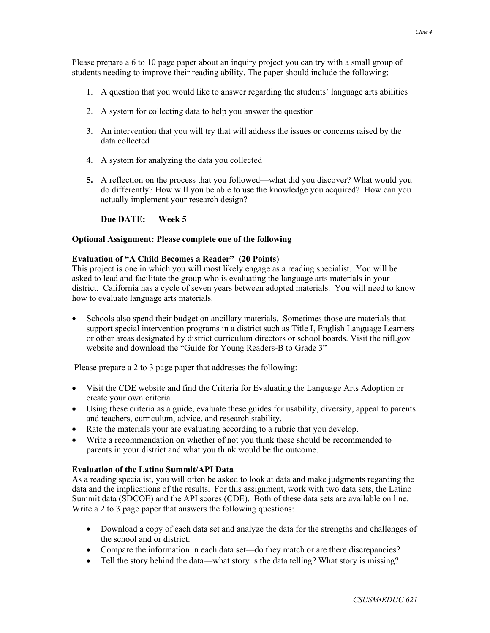Please prepare a 6 to 10 page paper about an inquiry project you can try with a small group of students needing to improve their reading ability. The paper should include the following:

- 1. A question that you would like to answer regarding the students' language arts abilities
- 2. A system for collecting data to help you answer the question
- 3. An intervention that you will try that will address the issues or concerns raised by the data collected
- 4. A system for analyzing the data you collected
- **5.** A reflection on the process that you followed—what did you discover? What would you do differently? How will you be able to use the knowledge you acquired? How can you actually implement your research design?

**Due DATE: Week 5**

#### **Optional Assignment: Please complete one of the following**

### **Evaluation of "A Child Becomes a Reader" (20 Points)**

This project is one in which you will most likely engage as a reading specialist. You will be asked to lead and facilitate the group who is evaluating the language arts materials in your district. California has a cycle of seven years between adopted materials. You will need to know how to evaluate language arts materials.

• Schools also spend their budget on ancillary materials. Sometimes those are materials that support special intervention programs in a district such as Title I, English Language Learners or other areas designated by district curriculum directors or school boards. Visit the nifl.gov website and download the "Guide for Young Readers-B to Grade 3"

Please prepare a 2 to 3 page paper that addresses the following:

- Visit the CDE website and find the Criteria for Evaluating the Language Arts Adoption or create your own criteria.
- Using these criteria as a guide, evaluate these guides for usability, diversity, appeal to parents and teachers, curriculum, advice, and research stability.
- Rate the materials your are evaluating according to a rubric that you develop.
- Write a recommendation on whether of not you think these should be recommended to parents in your district and what you think would be the outcome.

#### **Evaluation of the Latino Summit/API Data**

As a reading specialist, you will often be asked to look at data and make judgments regarding the data and the implications of the results. For this assignment, work with two data sets, the Latino Summit data (SDCOE) and the API scores (CDE). Both of these data sets are available on line. Write a 2 to 3 page paper that answers the following questions:

- Download a copy of each data set and analyze the data for the strengths and challenges of the school and or district.
- Compare the information in each data set—do they match or are there discrepancies?
- Tell the story behind the data—what story is the data telling? What story is missing?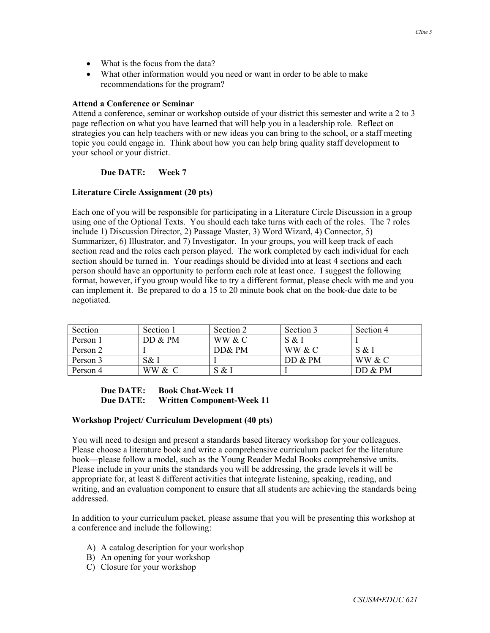- What is the focus from the data?
- What other information would you need or want in order to be able to make recommendations for the program?

#### **Attend a Conference or Seminar**

Attend a conference, seminar or workshop outside of your district this semester and write a 2 to 3 page reflection on what you have learned that will help you in a leadership role. Reflect on strategies you can help teachers with or new ideas you can bring to the school, or a staff meeting topic you could engage in. Think about how you can help bring quality staff development to your school or your district.

## **Due DATE: Week 7**

### **Literature Circle Assignment (20 pts)**

Each one of you will be responsible for participating in a Literature Circle Discussion in a group using one of the Optional Texts. You should each take turns with each of the roles. The 7 roles include 1) Discussion Director, 2) Passage Master, 3) Word Wizard, 4) Connector, 5) Summarizer, 6) Illustrator, and 7) Investigator. In your groups, you will keep track of each section read and the roles each person played. The work completed by each individual for each section should be turned in. Your readings should be divided into at least 4 sections and each person should have an opportunity to perform each role at least once. I suggest the following format, however, if you group would like to try a different format, please check with me and you can implement it. Be prepared to do a 15 to 20 minute book chat on the book-due date to be negotiated.

| Section  | Section 1 | Section 2 | Section 3 | Section 4 |
|----------|-----------|-----------|-----------|-----------|
| Person 1 | DD & PM   | WW & C    | S & I     |           |
| Person 2 |           | DD& PM    | WW & C    | S & 1     |
| Person 3 | S& I      |           | DD & PM   | WW & C    |
| Person 4 | WW & C    | S & I     |           | DD & PM   |

## **Due DATE: Book Chat-Week 11 Due DATE: Written Component-Week 11**

#### **Workshop Project/ Curriculum Development (40 pts)**

You will need to design and present a standards based literacy workshop for your colleagues. Please choose a literature book and write a comprehensive curriculum packet for the literature book—please follow a model, such as the Young Reader Medal Books comprehensive units. Please include in your units the standards you will be addressing, the grade levels it will be appropriate for, at least 8 different activities that integrate listening, speaking, reading, and writing, and an evaluation component to ensure that all students are achieving the standards being addressed.

In addition to your curriculum packet, please assume that you will be presenting this workshop at a conference and include the following:

- A) A catalog description for your workshop
- B) An opening for your workshop
- C) Closure for your workshop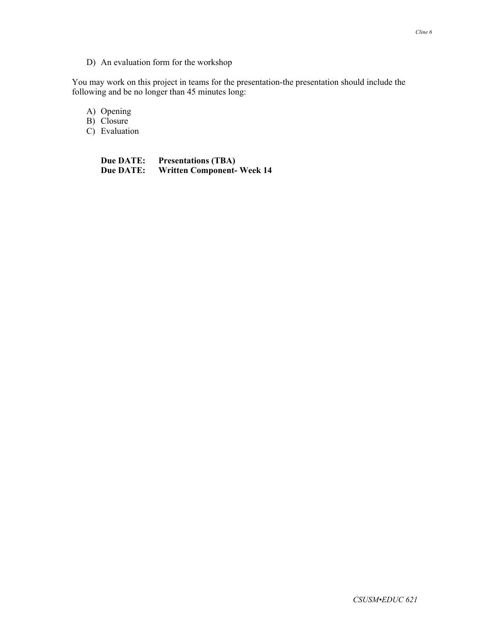## D) An evaluation form for the workshop

You may work on this project in teams for the presentation-the presentation should include the following and be no longer than 45 minutes long:

A) Opening

B) Closure

C) Evaluation

**Due DATE:** Presentations (TBA)<br> **Due DATE:** Written Component-**Written Component- Week 14**